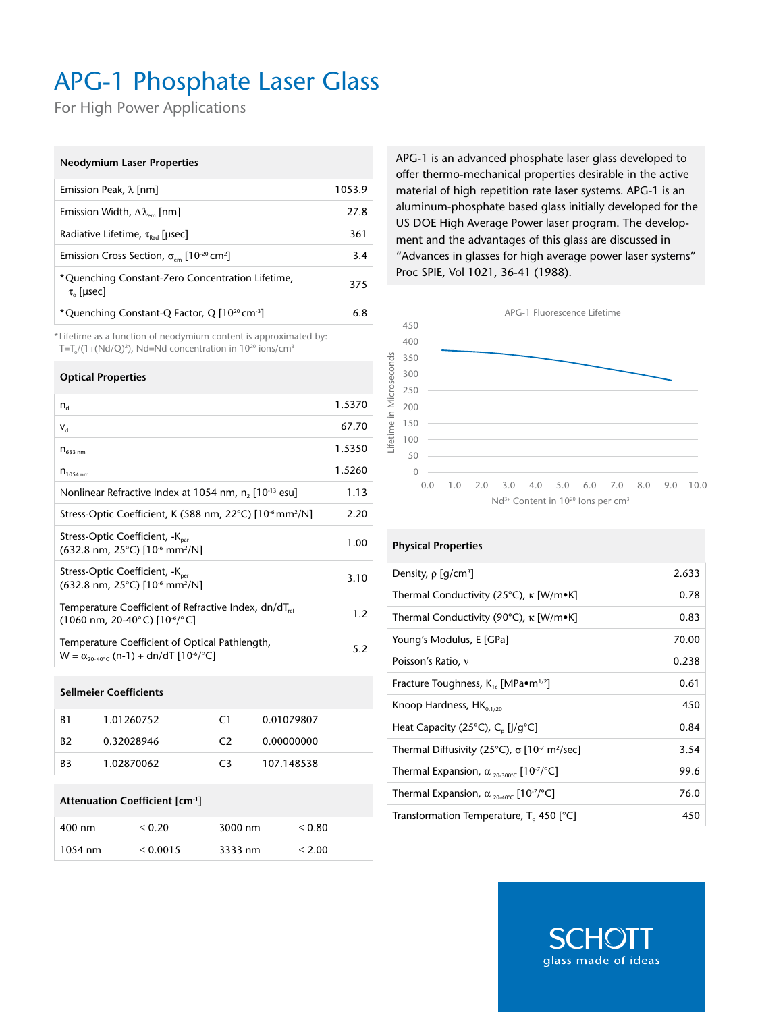# APG-1 Phosphate Laser Glass

For High Power Applications

#### **Neodymium Laser Properties**

| Emission Peak, $\lambda$ [nm]                                                     | 1053.9 |
|-----------------------------------------------------------------------------------|--------|
| Emission Width, $\Delta\lambda_{\text{em}}$ [nm]                                  | 27.8   |
| Radiative Lifetime, $\tau_{\text{rad}}$ [usec]                                    | 361    |
| Emission Cross Section, $\sigma_{\text{em}}$ [10 <sup>-20</sup> cm <sup>2</sup> ] | 3.4    |
| *Quenching Constant-Zero Concentration Lifetime,<br>$\tau_{\circ}$ [µsec]         | 375    |
| *Quenching Constant-Q Factor, Q [10 <sup>20</sup> cm <sup>-3</sup> ]              | 6.8    |

\* Lifetime as a function of neodymium content is approximated by: T=T $_0$ /(1+(Nd/Q)<sup>2</sup>), Nd=Nd concentration in 10<sup>20</sup> ions/cm<sup>3</sup>

#### **Optical Properties**

| $n_{\rm d}$                                                                                                                   | 1.5370 |
|-------------------------------------------------------------------------------------------------------------------------------|--------|
| $V_{d}$                                                                                                                       | 67.70  |
| $n_{633\,nm}$                                                                                                                 | 1.5350 |
| $n_{1054 \text{ nm}}$                                                                                                         | 1.5260 |
| Nonlinear Refractive Index at 1054 nm, n, [10 <sup>-13</sup> esu]                                                             | 1.13   |
| Stress-Optic Coefficient, K (588 nm, 22°C) [10 <sup>-6</sup> mm <sup>2</sup> /N]                                              | 2.20   |
| Stress-Optic Coefficient, -K <sub>par</sub><br>$(632.8 \text{ nm}, 25^{\circ}\text{C})$ [10 <sup>-6</sup> mm <sup>2</sup> /N] | 1.00   |
| Stress-Optic Coefficient, -K <sub>per</sub><br>$(632.8 \text{ nm}, 25^{\circ}\text{C})$ [10 <sup>-6</sup> mm <sup>2</sup> /N] | 3.10   |
| Temperature Coefficient of Refractive Index, $dn/dT_{rel}$<br>(1060 nm, 20-40 $^{\circ}$ C) [10 $^{\circ}$ / $^{\circ}$ C]    | 1.2    |
| Temperature Coefficient of Optical Pathlength,<br>$W = \alpha_{20-40^{\circ}C} (n-1) + dn/dT [10^{-6}/^{\circ}C]$             | 5.2    |

#### **Sellmeier Coefficients**

| B1             | 1.01260752 | C1             | 0.01079807 |
|----------------|------------|----------------|------------|
| R <sub>2</sub> | 0.32028946 | C <sub>2</sub> | 0.00000000 |
| B3             | 1.02870062 | C٩             | 107.148538 |

## **Attenuation Coefficient [cm-1]**

| 400 nm    | $\leq 0.20$   | 3000 nm | $\leq 0.80$ |
|-----------|---------------|---------|-------------|
| $1054$ nm | $\leq 0.0015$ | 3333 nm | < 2.00      |

APG-1 is an advanced phosphate laser glass developed to offer thermo-mechanical properties desirable in the active material of high repetition rate laser systems. APG-1 is an aluminum-phosphate based glass initially developed for the US DOE High Average Power laser program. The development and the advantages of this glass are discussed in "Advances in glasses for high average power laser systems" Proc SPIE, Vol 1021, 36-41 (1988).



### **Physical Properties**

| Density, $\rho$ [g/cm <sup>3</sup> ]                                                  | 2.633 |
|---------------------------------------------------------------------------------------|-------|
| Thermal Conductivity (25°C), $\kappa$ [W/m•K]                                         | 0.78  |
| Thermal Conductivity (90°C), K [W/m•K]                                                | 0.83  |
| Young's Modulus, E [GPa]                                                              | 70.00 |
| Poisson's Ratio, v                                                                    | 0.238 |
| Fracture Toughness, $K_{1c}$ [MPa $\bullet$ m <sup>1/2</sup> ]                        | 0.61  |
| Knoop Hardness, $HK_{0.1/20}$                                                         | 450   |
| Heat Capacity (25 $^{\circ}$ C), C <sub>n</sub> [J/q $^{\circ}$ C]                    | 0.84  |
| Thermal Diffusivity (25°C), $\sigma$ [10 <sup>-7</sup> m <sup>2</sup> /sec]           | 3.54  |
| Thermal Expansion, $\alpha_{20\cdot300^{\circ}C}$ [10 <sup>-7</sup> / <sup>°</sup> C] | 99.6  |
| Thermal Expansion, $\alpha_{20.40\degree}$ [10 <sup>-7</sup> / $^{\circ}$ C]          | 76.0  |
| Transformation Temperature, $T_a$ 450 [°C]                                            | 450   |